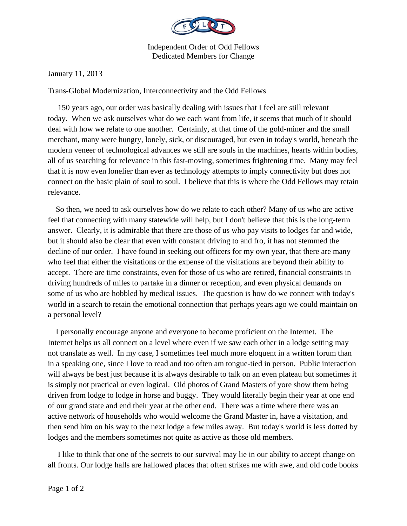

Independent Order of Odd Fellows Dedicated Members for Change

January 11, 2013

Trans-Global Modernization, Interconnectivity and the Odd Fellows

 150 years ago, our order was basically dealing with issues that I feel are still relevant today. When we ask ourselves what do we each want from life, it seems that much of it should deal with how we relate to one another. Certainly, at that time of the gold-miner and the small merchant, many were hungry, lonely, sick, or discouraged, but even in today's world, beneath the modern veneer of technological advances we still are souls in the machines, hearts within bodies, all of us searching for relevance in this fast-moving, sometimes frightening time. Many may feel that it is now even lonelier than ever as technology attempts to imply connectivity but does not connect on the basic plain of soul to soul. I believe that this is where the Odd Fellows may retain relevance.

 So then, we need to ask ourselves how do we relate to each other? Many of us who are active feel that connecting with many statewide will help, but I don't believe that this is the long-term answer. Clearly, it is admirable that there are those of us who pay visits to lodges far and wide, but it should also be clear that even with constant driving to and fro, it has not stemmed the decline of our order. I have found in seeking out officers for my own year, that there are many who feel that either the visitations or the expense of the visitations are beyond their ability to accept. There are time constraints, even for those of us who are retired, financial constraints in driving hundreds of miles to partake in a dinner or reception, and even physical demands on some of us who are hobbled by medical issues. The question is how do we connect with today's world in a search to retain the emotional connection that perhaps years ago we could maintain on a personal level?

 I personally encourage anyone and everyone to become proficient on the Internet. The Internet helps us all connect on a level where even if we saw each other in a lodge setting may not translate as well. In my case, I sometimes feel much more eloquent in a written forum than in a speaking one, since I love to read and too often am tongue-tied in person. Public interaction will always be best just because it is always desirable to talk on an even plateau but sometimes it is simply not practical or even logical. Old photos of Grand Masters of yore show them being driven from lodge to lodge in horse and buggy. They would literally begin their year at one end of our grand state and end their year at the other end. There was a time where there was an active network of households who would welcome the Grand Master in, have a visitation, and then send him on his way to the next lodge a few miles away. But today's world is less dotted by lodges and the members sometimes not quite as active as those old members.

 I like to think that one of the secrets to our survival may lie in our ability to accept change on all fronts. Our lodge halls are hallowed places that often strikes me with awe, and old code books